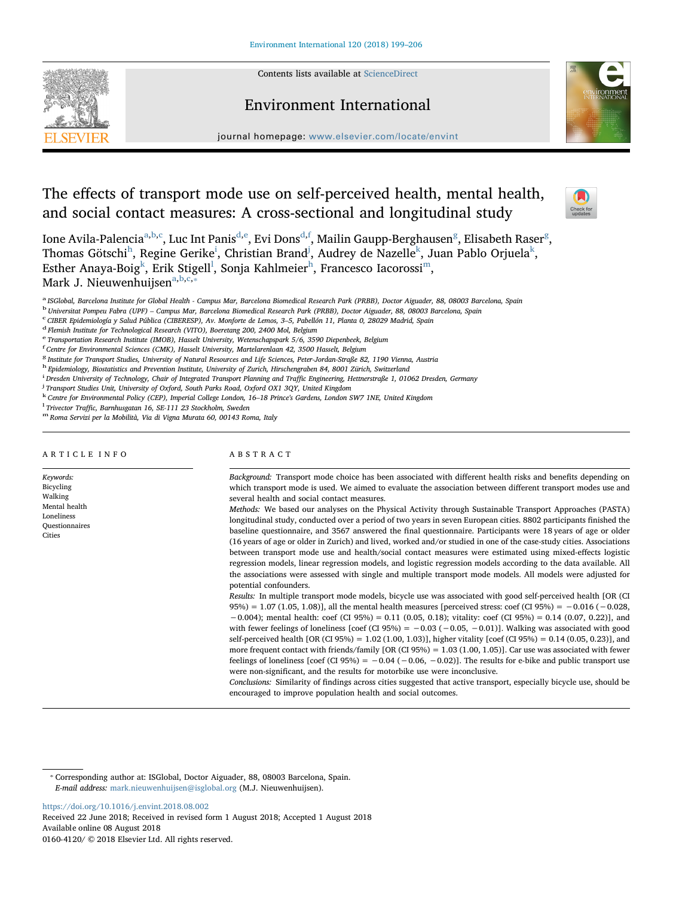Contents lists available at [ScienceDirect](http://www.sciencedirect.com/science/journal/01604120)





journal homepage: [www.elsevier.com/locate/envint](https://www.elsevier.com/locate/envint)

# The effects of transport mode use on self-perceived health, mental health, and social contact measures: A cross-sectional and longitudinal study



Ione Avila-Palencia<sup>[a,](#page-0-0)[b](#page-0-1)[,c](#page-0-2)</sup>, Luc Int Panis<sup>[d,](#page-0-3)[e](#page-0-4)</sup>, Evi Dons<sup>[d](#page-0-3),[f](#page-0-5)</sup>, Mailin Gaupp-Ber[g](#page-0-6)hausen<sup>g</sup>, Elisabeth Raser<sup>g</sup>, T[h](#page-0-7)omas Götsch[i](#page-0-8) $^{\rm h}$ , Regine Geri[k](#page-0-10)e $^{\rm i}$ , Christian Brand $^{\rm j}$  $^{\rm j}$  $^{\rm j}$ , Audrey de Nazelle $^{\rm k}$ , Juan Pablo Orjuela $^{\rm k}$ , Est[h](#page-0-7)er Anaya-Boig $^{\rm k}$  $^{\rm k}$  $^{\rm k}$ , Erik Stige[l](#page-0-11)l $^{\rm l}$  $^{\rm l}$  $^{\rm l}$ , Sonja Kahlmeier $^{\rm h}$ , Francesco Iacorossi $^{\rm m}$ , M[a](#page-0-0)rk J. Nieuwenhuijsen<sup>a,[b](#page-0-1)[,c,](#page-0-2)\*</sup>

<span id="page-0-0"></span>a ISGlobal, Barcelona Institute for Global Health - Campus Mar, Barcelona Biomedical Research Park (PRBB), Doctor Aiguader, 88, 08003 Barcelona, Spain

<span id="page-0-1"></span><sup>b</sup> Universitat Pompeu Fabra (UPF) – Campus Mar, Barcelona Biomedical Research Park (PRBB), Doctor Aiguader, 88, 08003 Barcelona, Spain <sup>c</sup> CIBER Epidemiología y Salud Pública (CIBERESP), Av. Monforte de Lemos, 3–5, Pabell

<span id="page-0-2"></span>

<span id="page-0-5"></span><sup>f</sup> Centre for Environmental Sciences (CMK), Hasselt University, Martelarenlaan 42, 3500 Hasselt, Belgium

<span id="page-0-6"></span><sup>g</sup> Institute for Transport Studies, University of Natural Resources and Life Sciences, Peter-Jordan-Straße 82, 1190 Vienna, Austria

- <span id="page-0-7"></span><sup>h</sup> Epidemiology, Biostatistics and Prevention Institute, University of Zurich, Hirschengraben 84, 8001 Zürich, Switzerland
- <span id="page-0-8"></span>i Dresden University of Technology, Chair of Integrated Transport Planning and Traffic Engineering, Hettnerstraße 1, 01062 Dresden, Germany<br><sup>J Transport Studies Unit University of Oxford, South Parks Bood, Oxford OX1 3OV, </sup>

<span id="page-0-9"></span><sup>j</sup> Transport Studies Unit, University of Oxford, South Parks Road, Oxford OX1 3QY, United Kingdom

<span id="page-0-10"></span>k Centre for Environmental Policy (CEP), Imperial College London, 16–18 Prince's Gardens, London SW7 1NE, United Kingdom<br><sup>1</sup> Trivector Traffic. Barnhuseatan 16. SE-111 23 Stockholm. Sweden

<span id="page-0-11"></span>

<span id="page-0-12"></span><sup>m</sup> Roma Servizi per la Mobilità, Via di Vigna Murata 60, 00143 Roma, Italy

#### ARTICLE INFO

Keywords: Bicycling Walking Mental health Loneliness **Ouestionnaires** Cities

# ABSTRACT

Background: Transport mode choice has been associated with different health risks and benefits depending on which transport mode is used. We aimed to evaluate the association between different transport modes use and several health and social contact measures.

Methods: We based our analyses on the Physical Activity through Sustainable Transport Approaches (PASTA) longitudinal study, conducted over a period of two years in seven European cities. 8802 participants finished the baseline questionnaire, and 3567 answered the final questionnaire. Participants were 18 years of age or older (16 years of age or older in Zurich) and lived, worked and/or studied in one of the case-study cities. Associations between transport mode use and health/social contact measures were estimated using mixed-effects logistic regression models, linear regression models, and logistic regression models according to the data available. All the associations were assessed with single and multiple transport mode models. All models were adjusted for potential confounders.

Results: In multiple transport mode models, bicycle use was associated with good self-perceived health [OR (CI 95%) = 1.07 (1.05, 1.08)], all the mental health measures [perceived stress: coef (CI 95%) = −0.016 (−0.028, −0.004); mental health: coef (CI 95%) = 0.11 (0.05, 0.18); vitality: coef (CI 95%) = 0.14 (0.07, 0.22)], and with fewer feelings of loneliness  $[coef (CI 95%) = -0.03 (-0.05, -0.01)]$ . Walking was associated with good self-perceived health [OR (CI 95%) = 1.02 (1.00, 1.03)], higher vitality [coef (CI 95%) = 0.14 (0.05, 0.23)], and more frequent contact with friends/family [OR (CI 95%) = 1.03 (1.00, 1.05)]. Car use was associated with fewer feelings of loneliness [coef (CI 95%) =  $-0.04$  ( $-0.06$ ,  $-0.02$ )]. The results for e-bike and public transport use were non-significant, and the results for motorbike use were inconclusive.

Conclusions: Similarity of findings across cities suggested that active transport, especially bicycle use, should be encouraged to improve population health and social outcomes.

<https://doi.org/10.1016/j.envint.2018.08.002> Received 22 June 2018; Received in revised form 1 August 2018; Accepted 1 August 2018 Available online 08 August 2018

0160-4120/ © 2018 Elsevier Ltd. All rights reserved.

<span id="page-0-3"></span><sup>&</sup>lt;sup>d</sup> Flemish Institute for Technological Research (VITO), Boeretang 200, 2400 Mol, Belgium

<span id="page-0-4"></span><sup>e</sup> Transportation Research Institute (IMOB), Hasselt University, Wetenschapspark 5/6, 3590 Diepenbeek, Belgium

<span id="page-0-13"></span><sup>⁎</sup> Corresponding author at: ISGlobal, Doctor Aiguader, 88, 08003 Barcelona, Spain. E-mail address: [mark.nieuwenhuijsen@isglobal.org](mailto:mark.nieuwenhuijsen@isglobal.org) (M.J. Nieuwenhuijsen).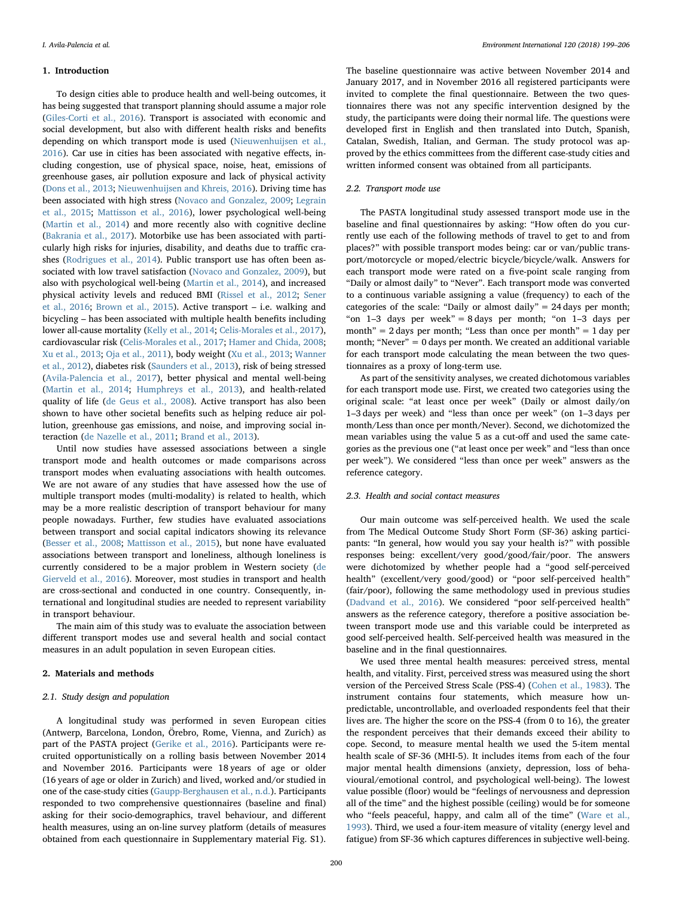#### 1. Introduction

To design cities able to produce health and well-being outcomes, it has being suggested that transport planning should assume a major role ([Giles-Corti et al., 2016\)](#page-6-0). Transport is associated with economic and social development, but also with different health risks and benefits depending on which transport mode is used [\(Nieuwenhuijsen et al.,](#page-7-0) [2016\)](#page-7-0). Car use in cities has been associated with negative effects, including congestion, use of physical space, noise, heat, emissions of greenhouse gases, air pollution exposure and lack of physical activity ([Dons et al., 2013](#page-6-1); [Nieuwenhuijsen and Khreis, 2016](#page-7-1)). Driving time has been associated with high stress ([Novaco and Gonzalez, 2009](#page-7-2); [Legrain](#page-7-3) [et al., 2015;](#page-7-3) [Mattisson et al., 2016](#page-7-4)), lower psychological well-being ([Martin et al., 2014](#page-7-5)) and more recently also with cognitive decline ([Bakrania et al., 2017\)](#page-6-2). Motorbike use has been associated with particularly high risks for injuries, disability, and deaths due to traffic crashes ([Rodrigues et al., 2014\)](#page-7-6). Public transport use has often been associated with low travel satisfaction [\(Novaco and Gonzalez, 2009](#page-7-2)), but also with psychological well-being [\(Martin et al., 2014](#page-7-5)), and increased physical activity levels and reduced BMI [\(Rissel et al., 2012;](#page-7-7) [Sener](#page-7-8) [et al., 2016;](#page-7-8) [Brown et al., 2015](#page-6-3)). Active transport – i.e. walking and bicycling – has been associated with multiple health benefits including lower all-cause mortality [\(Kelly et al., 2014](#page-7-9); [Celis-Morales et al., 2017](#page-6-4)), cardiovascular risk [\(Celis-Morales et al., 2017](#page-6-4); [Hamer and Chida, 2008](#page-7-10); [Xu et al., 2013](#page-7-11); [Oja et al., 2011](#page-7-12)), body weight ([Xu et al., 2013;](#page-7-11) [Wanner](#page-7-13) [et al., 2012](#page-7-13)), diabetes risk [\(Saunders et al., 2013\)](#page-7-14), risk of being stressed ([Avila-Palencia et al., 2017\)](#page-6-5), better physical and mental well-being ([Martin et al., 2014](#page-7-5); [Humphreys et al., 2013\)](#page-7-15), and health-related quality of life ([de Geus et al., 2008\)](#page-6-6). Active transport has also been shown to have other societal benefits such as helping reduce air pollution, greenhouse gas emissions, and noise, and improving social interaction (de [Nazelle et al., 2011](#page-7-16); [Brand et al., 2013\)](#page-6-7).

Until now studies have assessed associations between a single transport mode and health outcomes or made comparisons across transport modes when evaluating associations with health outcomes. We are not aware of any studies that have assessed how the use of multiple transport modes (multi-modality) is related to health, which may be a more realistic description of transport behaviour for many people nowadays. Further, few studies have evaluated associations between transport and social capital indicators showing its relevance ([Besser et al., 2008](#page-6-8); [Mattisson et al., 2015](#page-7-17)), but none have evaluated associations between transport and loneliness, although loneliness is currently considered to be a major problem in Western society [\(de](#page-6-9) [Gierveld et al., 2016\)](#page-6-9). Moreover, most studies in transport and health are cross-sectional and conducted in one country. Consequently, international and longitudinal studies are needed to represent variability in transport behaviour.

The main aim of this study was to evaluate the association between different transport modes use and several health and social contact measures in an adult population in seven European cities.

# 2. Materials and methods

# 2.1. Study design and population

A longitudinal study was performed in seven European cities (Antwerp, Barcelona, London, Örebro, Rome, Vienna, and Zurich) as part of the PASTA project [\(Gerike et al., 2016](#page-6-10)). Participants were recruited opportunistically on a rolling basis between November 2014 and November 2016. Participants were 18 years of age or older (16 years of age or older in Zurich) and lived, worked and/or studied in one of the case-study cities [\(Gaupp-Berghausen et al., n.d.\)](#page-6-11). Participants responded to two comprehensive questionnaires (baseline and final) asking for their socio-demographics, travel behaviour, and different health measures, using an on-line survey platform (details of measures obtained from each questionnaire in Supplementary material Fig. S1).

The baseline questionnaire was active between November 2014 and January 2017, and in November 2016 all registered participants were invited to complete the final questionnaire. Between the two questionnaires there was not any specific intervention designed by the study, the participants were doing their normal life. The questions were developed first in English and then translated into Dutch, Spanish, Catalan, Swedish, Italian, and German. The study protocol was approved by the ethics committees from the different case-study cities and written informed consent was obtained from all participants.

### 2.2. Transport mode use

The PASTA longitudinal study assessed transport mode use in the baseline and final questionnaires by asking: "How often do you currently use each of the following methods of travel to get to and from places?" with possible transport modes being: car or van/public transport/motorcycle or moped/electric bicycle/bicycle/walk. Answers for each transport mode were rated on a five-point scale ranging from "Daily or almost daily" to "Never". Each transport mode was converted to a continuous variable assigning a value (frequency) to each of the categories of the scale: "Daily or almost daily" = 24 days per month; "on 1–3 days per week" = 8 days per month; "on 1–3 days per month" =  $2$  days per month; "Less than once per month" =  $1$  day per month; "Never" = 0 days per month. We created an additional variable for each transport mode calculating the mean between the two questionnaires as a proxy of long-term use.

As part of the sensitivity analyses, we created dichotomous variables for each transport mode use. First, we created two categories using the original scale: "at least once per week" (Daily or almost daily/on 1–3 days per week) and "less than once per week" (on 1–3 days per month/Less than once per month/Never). Second, we dichotomized the mean variables using the value 5 as a cut-off and used the same categories as the previous one ("at least once per week" and "less than once per week"). We considered "less than once per week" answers as the reference category.

#### 2.3. Health and social contact measures

Our main outcome was self-perceived health. We used the scale from The Medical Outcome Study Short Form (SF-36) asking participants: "In general, how would you say your health is?" with possible responses being: excellent/very good/good/fair/poor. The answers were dichotomized by whether people had a "good self-perceived health" (excellent/very good/good) or "poor self-perceived health" (fair/poor), following the same methodology used in previous studies ([Dadvand et al., 2016\)](#page-6-12). We considered "poor self-perceived health" answers as the reference category, therefore a positive association between transport mode use and this variable could be interpreted as good self-perceived health. Self-perceived health was measured in the baseline and in the final questionnaires.

We used three mental health measures: perceived stress, mental health, and vitality. First, perceived stress was measured using the short version of the Perceived Stress Scale (PSS-4) ([Cohen et al., 1983](#page-6-13)). The instrument contains four statements, which measure how unpredictable, uncontrollable, and overloaded respondents feel that their lives are. The higher the score on the PSS-4 (from 0 to 16), the greater the respondent perceives that their demands exceed their ability to cope. Second, to measure mental health we used the 5-item mental health scale of SF-36 (MHI-5). It includes items from each of the four major mental health dimensions (anxiety, depression, loss of behavioural/emotional control, and psychological well-being). The lowest value possible (floor) would be "feelings of nervousness and depression all of the time" and the highest possible (ceiling) would be for someone who "feels peaceful, happy, and calm all of the time" [\(Ware et al.,](#page-7-18) [1993\)](#page-7-18). Third, we used a four-item measure of vitality (energy level and fatigue) from SF-36 which captures differences in subjective well-being.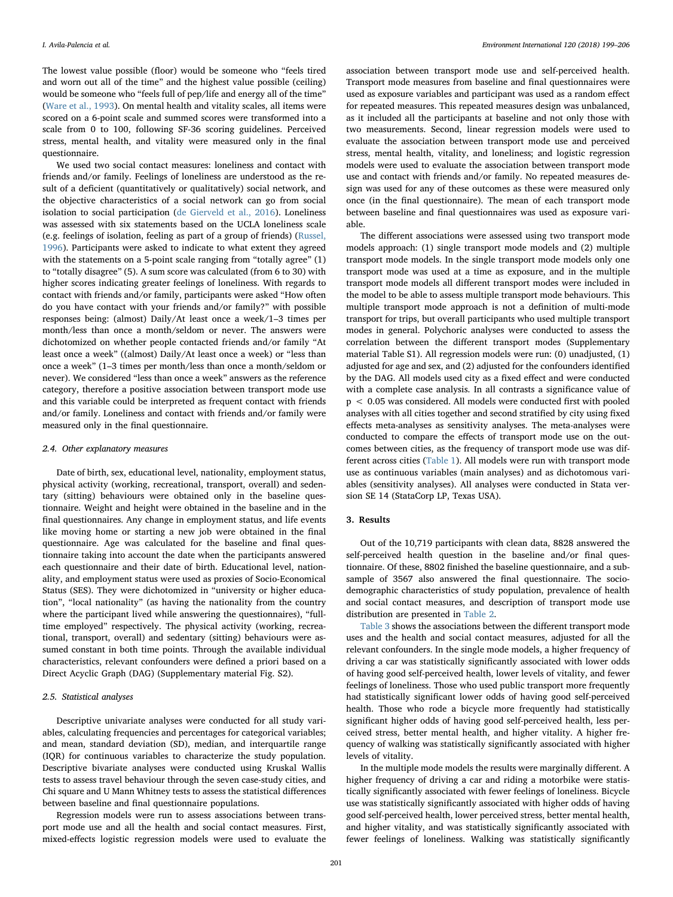The lowest value possible (floor) would be someone who "feels tired and worn out all of the time" and the highest value possible (ceiling) would be someone who "feels full of pep/life and energy all of the time" ([Ware et al., 1993](#page-7-18)). On mental health and vitality scales, all items were scored on a 6-point scale and summed scores were transformed into a scale from 0 to 100, following SF-36 scoring guidelines. Perceived stress, mental health, and vitality were measured only in the final questionnaire.

We used two social contact measures: loneliness and contact with friends and/or family. Feelings of loneliness are understood as the result of a deficient (quantitatively or qualitatively) social network, and the objective characteristics of a social network can go from social isolation to social participation ([de Gierveld et al., 2016\)](#page-6-9). Loneliness was assessed with six statements based on the UCLA loneliness scale (e.g. feelings of isolation, feeling as part of a group of friends) [\(Russel,](#page-7-19) [1996\)](#page-7-19). Participants were asked to indicate to what extent they agreed with the statements on a 5-point scale ranging from "totally agree" (1) to "totally disagree" (5). A sum score was calculated (from 6 to 30) with higher scores indicating greater feelings of loneliness. With regards to contact with friends and/or family, participants were asked "How often do you have contact with your friends and/or family?" with possible responses being: (almost) Daily/At least once a week/1–3 times per month/less than once a month/seldom or never. The answers were dichotomized on whether people contacted friends and/or family "At least once a week" ((almost) Daily/At least once a week) or "less than once a week" (1–3 times per month/less than once a month/seldom or never). We considered "less than once a week" answers as the reference category, therefore a positive association between transport mode use and this variable could be interpreted as frequent contact with friends and/or family. Loneliness and contact with friends and/or family were measured only in the final questionnaire.

### 2.4. Other explanatory measures

Date of birth, sex, educational level, nationality, employment status, physical activity (working, recreational, transport, overall) and sedentary (sitting) behaviours were obtained only in the baseline questionnaire. Weight and height were obtained in the baseline and in the final questionnaires. Any change in employment status, and life events like moving home or starting a new job were obtained in the final questionnaire. Age was calculated for the baseline and final questionnaire taking into account the date when the participants answered each questionnaire and their date of birth. Educational level, nationality, and employment status were used as proxies of Socio-Economical Status (SES). They were dichotomized in "university or higher education", "local nationality" (as having the nationality from the country where the participant lived while answering the questionnaires), "fulltime employed" respectively. The physical activity (working, recreational, transport, overall) and sedentary (sitting) behaviours were assumed constant in both time points. Through the available individual characteristics, relevant confounders were defined a priori based on a Direct Acyclic Graph (DAG) (Supplementary material Fig. S2).

# 2.5. Statistical analyses

Descriptive univariate analyses were conducted for all study variables, calculating frequencies and percentages for categorical variables; and mean, standard deviation (SD), median, and interquartile range (IQR) for continuous variables to characterize the study population. Descriptive bivariate analyses were conducted using Kruskal Wallis tests to assess travel behaviour through the seven case-study cities, and Chi square and U Mann Whitney tests to assess the statistical differences between baseline and final questionnaire populations.

Regression models were run to assess associations between transport mode use and all the health and social contact measures. First, mixed-effects logistic regression models were used to evaluate the

association between transport mode use and self-perceived health. Transport mode measures from baseline and final questionnaires were used as exposure variables and participant was used as a random effect for repeated measures. This repeated measures design was unbalanced, as it included all the participants at baseline and not only those with two measurements. Second, linear regression models were used to evaluate the association between transport mode use and perceived stress, mental health, vitality, and loneliness; and logistic regression models were used to evaluate the association between transport mode use and contact with friends and/or family. No repeated measures design was used for any of these outcomes as these were measured only once (in the final questionnaire). The mean of each transport mode between baseline and final questionnaires was used as exposure variable.

The different associations were assessed using two transport mode models approach: (1) single transport mode models and (2) multiple transport mode models. In the single transport mode models only one transport mode was used at a time as exposure, and in the multiple transport mode models all different transport modes were included in the model to be able to assess multiple transport mode behaviours. This multiple transport mode approach is not a definition of multi-mode transport for trips, but overall participants who used multiple transport modes in general. Polychoric analyses were conducted to assess the correlation between the different transport modes (Supplementary material Table S1). All regression models were run: (0) unadjusted, (1) adjusted for age and sex, and (2) adjusted for the confounders identified by the DAG. All models used city as a fixed effect and were conducted with a complete case analysis. In all contrasts a significance value of p < 0.05 was considered. All models were conducted first with pooled analyses with all cities together and second stratified by city using fixed effects meta-analyses as sensitivity analyses. The meta-analyses were conducted to compare the effects of transport mode use on the outcomes between cities, as the frequency of transport mode use was different across cities [\(Table](#page-3-0) 1). All models were run with transport mode use as continuous variables (main analyses) and as dichotomous variables (sensitivity analyses). All analyses were conducted in Stata version SE 14 (StataCorp LP, Texas USA).

#### 3. Results

Out of the 10,719 participants with clean data, 8828 answered the self-perceived health question in the baseline and/or final questionnaire. Of these, 8802 finished the baseline questionnaire, and a subsample of 3567 also answered the final questionnaire. The sociodemographic characteristics of study population, prevalence of health and social contact measures, and description of transport mode use distribution are presented in [Table 2](#page-4-0).

[Table 3](#page-5-0) shows the associations between the different transport mode uses and the health and social contact measures, adjusted for all the relevant confounders. In the single mode models, a higher frequency of driving a car was statistically significantly associated with lower odds of having good self-perceived health, lower levels of vitality, and fewer feelings of loneliness. Those who used public transport more frequently had statistically significant lower odds of having good self-perceived health. Those who rode a bicycle more frequently had statistically significant higher odds of having good self-perceived health, less perceived stress, better mental health, and higher vitality. A higher frequency of walking was statistically significantly associated with higher levels of vitality.

In the multiple mode models the results were marginally different. A higher frequency of driving a car and riding a motorbike were statistically significantly associated with fewer feelings of loneliness. Bicycle use was statistically significantly associated with higher odds of having good self-perceived health, lower perceived stress, better mental health, and higher vitality, and was statistically significantly associated with fewer feelings of loneliness. Walking was statistically significantly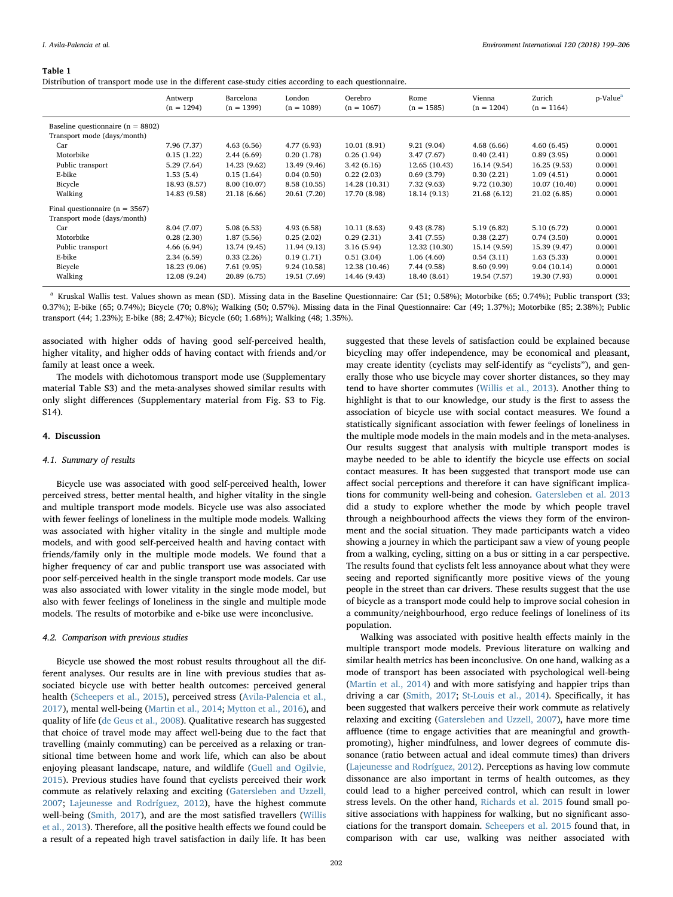#### <span id="page-3-0"></span>Table 1

Distribution of transport mode use in the different case-study cities according to each questionnaire.

|                                       | Antwerp<br>$(n = 1294)$ | Barcelona<br>$(n = 1399)$ | London<br>$(n = 1089)$ | Oerebro<br>$(n = 1067)$ | Rome<br>$(n = 1585)$ | Vienna<br>$(n = 1204)$ | Zurich<br>$(n = 1164)$ | p-Value <sup>a</sup> |
|---------------------------------------|-------------------------|---------------------------|------------------------|-------------------------|----------------------|------------------------|------------------------|----------------------|
| Baseline questionnaire ( $n = 8802$ ) |                         |                           |                        |                         |                      |                        |                        |                      |
| Transport mode (days/month)           |                         |                           |                        |                         |                      |                        |                        |                      |
| Car                                   | 7.96 (7.37)             | 4.63(6.56)                | 4.77 (6.93)            | 10.01(8.91)             | 9.21(9.04)           | 4.68(6.66)             | 4.60(6.45)             | 0.0001               |
| Motorbike                             | 0.15(1.22)              | 2.44(6.69)                | 0.20(1.78)             | 0.26(1.94)              | 3.47 (7.67)          | 0.40(2.41)             | 0.89(3.95)             | 0.0001               |
| Public transport                      | 5.29 (7.64)             | 14.23 (9.62)              | 13.49 (9.46)           | 3.42(6.16)              | 12.65 (10.43)        | 16.14 (9.54)           | 16.25 (9.53)           | 0.0001               |
| E-bike                                | 1.53(5.4)               | 0.15(1.64)                | 0.04(0.50)             | 0.22(2.03)              | 0.69(3.79)           | 0.30(2.21)             | 1.09(4.51)             | 0.0001               |
| Bicycle                               | 18.93 (8.57)            | 8.00 (10.07)              | 8.58 (10.55)           | 14.28 (10.31)           | 7.32 (9.63)          | 9.72(10.30)            | 10.07 (10.40)          | 0.0001               |
| Walking                               | 14.83 (9.58)            | 21.18 (6.66)              | 20.61 (7.20)           | 17.70 (8.98)            | 18.14 (9.13)         | 21.68 (6.12)           | 21.02 (6.85)           | 0.0001               |
| Final questionnaire ( $n = 3567$ )    |                         |                           |                        |                         |                      |                        |                        |                      |
| Transport mode (days/month)           |                         |                           |                        |                         |                      |                        |                        |                      |
| Car                                   | 8.04 (7.07)             | 5.08(6.53)                | 4.93 (6.58)            | 10.11(8.63)             | 9.43(8.78)           | 5.19(6.82)             | 5.10 (6.72)            | 0.0001               |
| Motorbike                             | 0.28(2.30)              | 1.87(5.56)                | 0.25(2.02)             | 0.29(2.31)              | 3.41 (7.55)          | 0.38(2.27)             | 0.74(3.50)             | 0.0001               |
| Public transport                      | 4.66(6.94)              | 13.74 (9.45)              | 11.94 (9.13)           | 3.16(5.94)              | 12.32 (10.30)        | 15.14 (9.59)           | 15.39 (9.47)           | 0.0001               |
| E-bike                                | 2.34(6.59)              | 0.33(2.26)                | 0.19(1.71)             | 0.51(3.04)              | 1.06(4.60)           | 0.54(3.11)             | 1.63(5.33)             | 0.0001               |
| Bicycle                               | 18.23 (9.06)            | 7.61 (9.95)               | 9.24(10.58)            | 12.38 (10.46)           | 7.44 (9.58)          | 8.60 (9.99)            | 9.04(10.14)            | 0.0001               |
| Walking                               | 12.08 (9.24)            | 20.89 (6.75)              | 19.51 (7.69)           | 14.46 (9.43)            | 18.40 (8.61)         | 19.54 (7.57)           | 19.30 (7.93)           | 0.0001               |

<span id="page-3-1"></span><sup>a</sup> Kruskal Wallis test. Values shown as mean (SD). Missing data in the Baseline Questionnaire: Car (51; 0.58%); Motorbike (65; 0.74%); Public transport (33; 0.37%); E-bike (65; 0.74%); Bicycle (70; 0.8%); Walking (50; 0.57%). Missing data in the Final Questionnaire: Car (49; 1.37%); Motorbike (85; 2.38%); Public transport (44; 1.23%); E-bike (88; 2.47%); Bicycle (60; 1.68%); Walking (48; 1.35%).

associated with higher odds of having good self-perceived health, higher vitality, and higher odds of having contact with friends and/or family at least once a week.

The models with dichotomous transport mode use (Supplementary material Table S3) and the meta-analyses showed similar results with only slight differences (Supplementary material from Fig. S3 to Fig. S14).

# 4. Discussion

### 4.1. Summary of results

Bicycle use was associated with good self-perceived health, lower perceived stress, better mental health, and higher vitality in the single and multiple transport mode models. Bicycle use was also associated with fewer feelings of loneliness in the multiple mode models. Walking was associated with higher vitality in the single and multiple mode models, and with good self-perceived health and having contact with friends/family only in the multiple mode models. We found that a higher frequency of car and public transport use was associated with poor self-perceived health in the single transport mode models. Car use was also associated with lower vitality in the single mode model, but also with fewer feelings of loneliness in the single and multiple mode models. The results of motorbike and e-bike use were inconclusive.

#### 4.2. Comparison with previous studies

Bicycle use showed the most robust results throughout all the different analyses. Our results are in line with previous studies that associated bicycle use with better health outcomes: perceived general health ([Scheepers et al., 2015\)](#page-7-20), perceived stress ([Avila-Palencia et al.,](#page-6-5) [2017\)](#page-6-5), mental well-being [\(Martin et al., 2014;](#page-7-5) [Mytton et al., 2016](#page-7-21)), and quality of life [\(de Geus et al., 2008\)](#page-6-6). Qualitative research has suggested that choice of travel mode may affect well-being due to the fact that travelling (mainly commuting) can be perceived as a relaxing or transitional time between home and work life, which can also be about enjoying pleasant landscape, nature, and wildlife ([Guell and Ogilvie,](#page-7-22) [2015\)](#page-7-22). Previous studies have found that cyclists perceived their work commute as relatively relaxing and exciting [\(Gatersleben and Uzzell,](#page-6-14) [2007;](#page-6-14) [Lajeunesse and Rodríguez, 2012\)](#page-7-23), have the highest commute well-being ([Smith, 2017](#page-7-24)), and are the most satisfied travellers [\(Willis](#page-7-25) [et al., 2013\)](#page-7-25). Therefore, all the positive health effects we found could be a result of a repeated high travel satisfaction in daily life. It has been

suggested that these levels of satisfaction could be explained because bicycling may offer independence, may be economical and pleasant, may create identity (cyclists may self-identify as "cyclists"), and generally those who use bicycle may cover shorter distances, so they may tend to have shorter commutes ([Willis et al., 2013](#page-7-25)). Another thing to highlight is that to our knowledge, our study is the first to assess the association of bicycle use with social contact measures. We found a statistically significant association with fewer feelings of loneliness in the multiple mode models in the main models and in the meta-analyses. Our results suggest that analysis with multiple transport modes is maybe needed to be able to identify the bicycle use effects on social contact measures. It has been suggested that transport mode use can affect social perceptions and therefore it can have significant implications for community well-being and cohesion. [Gatersleben et al. 2013](#page-6-15) did a study to explore whether the mode by which people travel through a neighbourhood affects the views they form of the environment and the social situation. They made participants watch a video showing a journey in which the participant saw a view of young people from a walking, cycling, sitting on a bus or sitting in a car perspective. The results found that cyclists felt less annoyance about what they were seeing and reported significantly more positive views of the young people in the street than car drivers. These results suggest that the use of bicycle as a transport mode could help to improve social cohesion in a community/neighbourhood, ergo reduce feelings of loneliness of its population.

Walking was associated with positive health effects mainly in the multiple transport mode models. Previous literature on walking and similar health metrics has been inconclusive. On one hand, walking as a mode of transport has been associated with psychological well-being ([Martin et al., 2014\)](#page-7-5) and with more satisfying and happier trips than driving a car ([Smith, 2017;](#page-7-24) [St-Louis et al., 2014\)](#page-7-26). Specifically, it has been suggested that walkers perceive their work commute as relatively relaxing and exciting ([Gatersleben and Uzzell, 2007](#page-6-14)), have more time affluence (time to engage activities that are meaningful and growthpromoting), higher mindfulness, and lower degrees of commute dissonance (ratio between actual and ideal commute times) than drivers ([Lajeunesse and Rodríguez, 2012](#page-7-23)). Perceptions as having low commute dissonance are also important in terms of health outcomes, as they could lead to a higher perceived control, which can result in lower stress levels. On the other hand, [Richards et al. 2015](#page-7-27) found small positive associations with happiness for walking, but no significant associations for the transport domain. [Scheepers et al. 2015](#page-7-20) found that, in comparison with car use, walking was neither associated with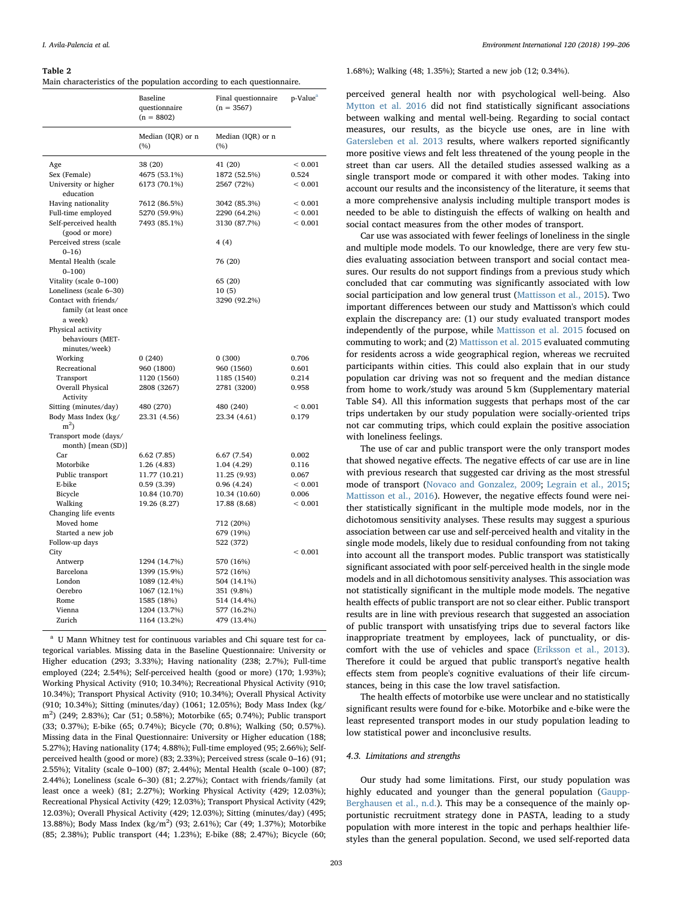#### <span id="page-4-0"></span>Table 2

| Main characteristics of the population according to each questionnaire. |  |  |  |  |  |  |  |
|-------------------------------------------------------------------------|--|--|--|--|--|--|--|
|-------------------------------------------------------------------------|--|--|--|--|--|--|--|

|                                         | Baseline<br>questionnaire<br>$(n = 8802)$ | Final questionnaire<br>$(n = 3567)$ | p-Value <sup>a</sup> |
|-----------------------------------------|-------------------------------------------|-------------------------------------|----------------------|
|                                         | Median (IQR) or n<br>$(\%)$               | Median (IQR) or n<br>(%)            |                      |
| Age                                     | 38 (20)                                   | 41 (20)                             | ${}< 0.001$          |
| Sex (Female)                            | 4675 (53.1%)                              | 1872 (52.5%)                        | 0.524                |
| University or higher<br>education       | 6173 (70.1%)                              | 2567 (72%)                          | ${}< 0.001$          |
| Having nationality                      | 7612 (86.5%)                              | 3042 (85.3%)                        | ${}< 0.001$          |
| Full-time employed                      | 5270 (59.9%)                              | 2290 (64.2%)                        | ${}< 0.001$          |
| Self-perceived health<br>(good or more) | 7493 (85.1%)                              | 3130 (87.7%)                        | < 0.001              |
| Perceived stress (scale<br>$0 - 16$     |                                           | 4(4)                                |                      |
| Mental Health (scale<br>$0 - 100$       |                                           | 76 (20)                             |                      |
| Vitality (scale 0-100)                  |                                           | 65 (20)                             |                      |
| Loneliness (scale 6-30)                 |                                           | 10(5)                               |                      |
| Contact with friends/                   |                                           | 3290 (92.2%)                        |                      |
| family (at least once                   |                                           |                                     |                      |
| a week)                                 |                                           |                                     |                      |
| Physical activity                       |                                           |                                     |                      |
| behaviours (MET-<br>minutes/week)       |                                           |                                     |                      |
| Working                                 | 0(240)                                    | 0(300)                              | 0.706                |
| Recreational                            | 960 (1800)                                | 960 (1560)                          | 0.601                |
| Transport                               | 1120 (1560)                               | 1185 (1540)                         | 0.214                |
| Overall Physical                        | 2808 (3267)                               | 2781 (3200)                         | 0.958                |
| Activity                                |                                           |                                     |                      |
| Sitting (minutes/day)                   | 480 (270)                                 | 480 (240)                           | ${}< 0.001$          |
| Body Mass Index (kg/<br>$m2$ )          | 23.31 (4.56)                              | 23.34 (4.61)                        | 0.179                |
| Transport mode (days/                   |                                           |                                     |                      |
| month) [mean (SD)]                      |                                           |                                     |                      |
| Car                                     | 6.62(7.85)                                | 6.67(7.54)                          | 0.002                |
| Motorbike                               | 1.26(4.83)                                | 1.04 (4.29)                         | 0.116                |
| Public transport                        | 11.77 (10.21)                             | 11.25 (9.93)                        | 0.067                |
| E-bike                                  | 0.59(3.39)                                | 0.96(4.24)                          | < 0.001              |
| Bicycle                                 | 10.84 (10.70)                             | 10.34 (10.60)                       | 0.006                |
| Walking                                 | 19.26 (8.27)                              | 17.88 (8.68)                        | ${}< 0.001$          |
| Changing life events<br>Moved home      |                                           |                                     |                      |
| Started a new job                       |                                           | 712 (20%)<br>679 (19%)              |                      |
| Follow-up days                          |                                           | 522 (372)                           |                      |
| City                                    |                                           |                                     | ${}< 0.001$          |
| Antwerp                                 | 1294 (14.7%)                              | 570 (16%)                           |                      |
| Barcelona                               | 1399 (15.9%)                              | 572 (16%)                           |                      |
| London                                  | 1089 (12.4%)                              | 504 (14.1%)                         |                      |
| Oerebro                                 | 1067 (12.1%)                              | 351 (9.8%)                          |                      |
| Rome                                    | 1585 (18%)                                | 514 (14.4%)                         |                      |
| Vienna                                  | 1204 (13.7%)                              | 577 (16.2%)                         |                      |
| Zurich                                  | 1164 (13.2%)                              | 479 (13.4%)                         |                      |

<span id="page-4-1"></span><sup>a</sup> U Mann Whitney test for continuous variables and Chi square test for categorical variables. Missing data in the Baseline Questionnaire: University or Higher education (293; 3.33%); Having nationality (238; 2.7%); Full-time employed (224; 2.54%); Self-perceived health (good or more) (170; 1.93%); Working Physical Activity (910; 10.34%); Recreational Physical Activity (910; 10.34%); Transport Physical Activity (910; 10.34%); Overall Physical Activity (910; 10.34%); Sitting (minutes/day) (1061; 12.05%); Body Mass Index (kg/ m<sup>2</sup>) (249; 2.83%); Car (51; 0.58%); Motorbike (65; 0.74%); Public transport (33; 0.37%); E-bike (65; 0.74%); Bicycle (70; 0.8%); Walking (50; 0.57%). Missing data in the Final Questionnaire: University or Higher education (188; 5.27%); Having nationality (174; 4.88%); Full-time employed (95; 2.66%); Selfperceived health (good or more) (83; 2.33%); Perceived stress (scale 0–16) (91; 2.55%); Vitality (scale 0–100) (87; 2.44%); Mental Health (scale 0–100) (87; 2.44%); Loneliness (scale 6–30) (81; 2.27%); Contact with friends/family (at least once a week) (81; 2.27%); Working Physical Activity (429; 12.03%); Recreational Physical Activity (429; 12.03%); Transport Physical Activity (429; 12.03%); Overall Physical Activity (429; 12.03%); Sitting (minutes/day) (495; 13.88%); Body Mass Index (kg/m<sup>2</sup>) (93; 2.61%); Car (49; 1.37%); Motorbike (85; 2.38%); Public transport (44; 1.23%); E-bike (88; 2.47%); Bicycle (60;

1.68%); Walking (48; 1.35%); Started a new job (12; 0.34%).

perceived general health nor with psychological well-being. Also [Mytton et al. 2016](#page-7-21) did not find statistically significant associations between walking and mental well-being. Regarding to social contact measures, our results, as the bicycle use ones, are in line with [Gatersleben et al. 2013](#page-6-15) results, where walkers reported significantly more positive views and felt less threatened of the young people in the street than car users. All the detailed studies assessed walking as a single transport mode or compared it with other modes. Taking into account our results and the inconsistency of the literature, it seems that a more comprehensive analysis including multiple transport modes is needed to be able to distinguish the effects of walking on health and social contact measures from the other modes of transport.

Car use was associated with fewer feelings of loneliness in the single and multiple mode models. To our knowledge, there are very few studies evaluating association between transport and social contact measures. Our results do not support findings from a previous study which concluded that car commuting was significantly associated with low social participation and low general trust ([Mattisson et al., 2015\)](#page-7-17). Two important differences between our study and Mattisson's which could explain the discrepancy are: (1) our study evaluated transport modes independently of the purpose, while [Mattisson et al. 2015](#page-7-17) focused on commuting to work; and (2) [Mattisson et al. 2015](#page-7-17) evaluated commuting for residents across a wide geographical region, whereas we recruited participants within cities. This could also explain that in our study population car driving was not so frequent and the median distance from home to work/study was around 5 km (Supplementary material Table S4). All this information suggests that perhaps most of the car trips undertaken by our study population were socially-oriented trips not car commuting trips, which could explain the positive association with loneliness feelings.

The use of car and public transport were the only transport modes that showed negative effects. The negative effects of car use are in line with previous research that suggested car driving as the most stressful mode of transport ([Novaco and Gonzalez, 2009;](#page-7-2) [Legrain et al., 2015](#page-7-3); [Mattisson et al., 2016](#page-7-4)). However, the negative effects found were neither statistically significant in the multiple mode models, nor in the dichotomous sensitivity analyses. These results may suggest a spurious association between car use and self-perceived health and vitality in the single mode models, likely due to residual confounding from not taking into account all the transport modes. Public transport was statistically significant associated with poor self-perceived health in the single mode models and in all dichotomous sensitivity analyses. This association was not statistically significant in the multiple mode models. The negative health effects of public transport are not so clear either. Public transport results are in line with previous research that suggested an association of public transport with unsatisfying trips due to several factors like inappropriate treatment by employees, lack of punctuality, or discomfort with the use of vehicles and space [\(Eriksson et al., 2013](#page-6-16)). Therefore it could be argued that public transport's negative health effects stem from people's cognitive evaluations of their life circumstances, being in this case the low travel satisfaction.

The health effects of motorbike use were unclear and no statistically significant results were found for e-bike. Motorbike and e-bike were the least represented transport modes in our study population leading to low statistical power and inconclusive results.

# 4.3. Limitations and strengths

Our study had some limitations. First, our study population was highly educated and younger than the general population [\(Gaupp-](#page-6-11)[Berghausen et al., n.d.\)](#page-6-11). This may be a consequence of the mainly opportunistic recruitment strategy done in PASTA, leading to a study population with more interest in the topic and perhaps healthier lifestyles than the general population. Second, we used self-reported data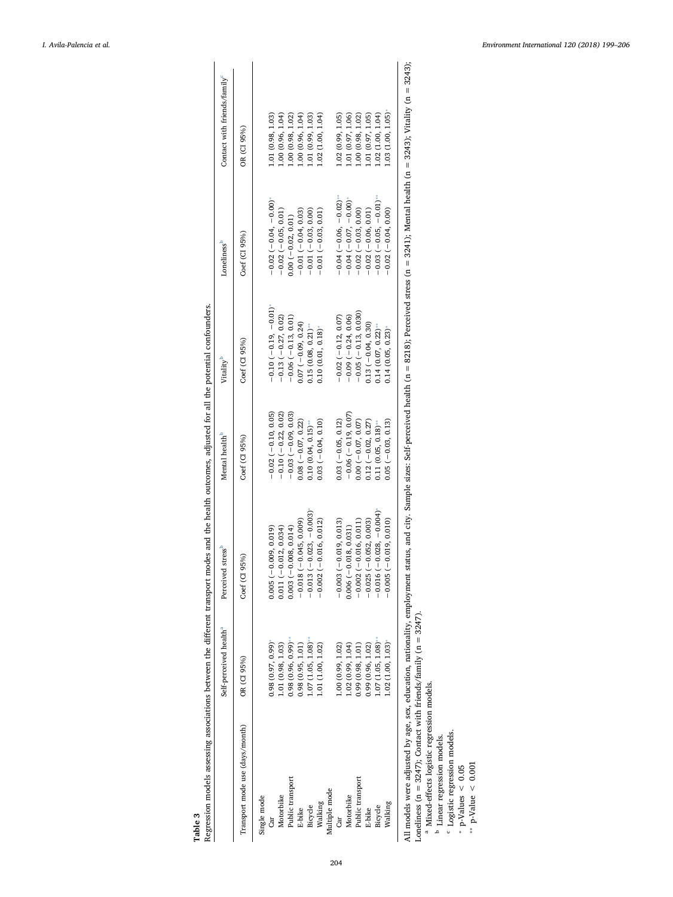<span id="page-5-0"></span>

| Self-perceived health <sup>a</sup> | stress <sup>b</sup><br>Perceived | Mental health <sup>b</sup>                                               | Vitality <sup>b</sup>  | Loneliness <sup>b</sup>       | Contact with friends/family <sup>c</sup>                                                                                                      |
|------------------------------------|----------------------------------|--------------------------------------------------------------------------|------------------------|-------------------------------|-----------------------------------------------------------------------------------------------------------------------------------------------|
| OR (CI 95%)                        | 95%)<br>Coef (CI                 | Coef (CI 95%)                                                            | $Coef$ (CI 95%)        | Coef (CI 95%)                 | OR (CI 95%)                                                                                                                                   |
|                                    |                                  |                                                                          |                        |                               |                                                                                                                                               |
| 0.98(0.97, 0.99)                   | $0.005(-0.009, 0.019)$           | $-0.02(-0.10, 0.05)$                                                     | $-0.10(-0.19, 0.01)^*$ | $-0.02(-0.04, -0.00)^*$       | 1.01(0.98, 1.03)                                                                                                                              |
| 1.01 (0.98, 1.03)                  | $0.011 (-0.012, 0.034)$          | $-0.10(-0.22, 0.02)$                                                     | $-0.13(-0.27, 0.02)$   | $-0.02(-0.05, 0.01)$          | 1.00 (0.96, 1.04)                                                                                                                             |
| $0.98(0.96, 0.99)$ **              | $0.003(-0.008, 0.014)$           | $-0.03(-0.09, 0.03)$                                                     | $-0.06(-0.13, 0.01)$   | $0.00(-0.02, 0.01)$           | 1.00(0.98, 1.02)                                                                                                                              |
| 0.98(0.95, 1.01)                   | $-0.018(-0.045, 0.009)$          | $0.08(-0.07, 0.22)$                                                      | $0.07 (-0.09, 0.24)$   | $-0.01(-0.04, 0.03)$          | 1.00 (0.96, 1.04)                                                                                                                             |
| 1.07 (1.05, 1.08)                  | $(-0.023, -0.003)$<br>$-0.013$   | 0.10(0.04, 0.15)                                                         | $0.15(0.08, 0.21)$ **  | $-0.01(-0.03, 0.00)$          | 1.01 (0.99, 1.03)                                                                                                                             |
| 1.01(1.00, 1.02)                   | $(-0.016, 0.012)$<br>$-0.002$    | $0.03(-0.04, 0.10)$                                                      | 0.10(0.01, 0.18)       | $-0.01(-0.03, 0.01)$          | 1.02 (1.00, 1.04)                                                                                                                             |
|                                    |                                  |                                                                          |                        |                               |                                                                                                                                               |
| 1.00 (0.99, 1.02)                  | $-0.003(-0.019, 0.013)$          | $0.03(-0.05, 0.12)$                                                      | $-0.02(-0.12, 0.07)$   | $-0.04(-0.06,-0.02)$          | 1.02 (0.99, 1.05)                                                                                                                             |
| 1.02 (0.99, 1.04)                  | $0.006(-0.018, 0.031)$           | $-0.06(-0.19, 0.07)$                                                     | $-0.09(-0.24, 0.06)$   | $-0.04$ ( $-0.07$ , $-0.00$ ) | 1.01 (0.97, 1.06)                                                                                                                             |
| 0.99(0.98, 1.01)                   | $-0.002(-0.016, 0.011)$          | $0.00 (-0.07, 0.07)$                                                     | $-0.05(-0.13, 0.030)$  | $-0.02(-0.03, 0.00)$          | 1.00(0.98, 1.02)                                                                                                                              |
| 0.99(0.96, 1.02)                   | $-0.052, 0.003$<br>$-0.025$      | $0.12 (-0.02, 0.27)$                                                     | $0.13(-0.04, 0.30)$    | $-0.02(-0.06, 0.01)$          | 1.01 (0.97, 1.05)                                                                                                                             |
| 1.07(1.05, 1.08)                   | $(-0.028,-0.004)$<br>$-0.016$    | 0.11(0.05, 0.18)                                                         | 0.14(0.07, 0.22)       | $-0.03(-0.05, -0.01)^{k}$     | 1.02 (1.00, 1.04)                                                                                                                             |
| 1.02 (1.00, 1.03)                  | $(-0.019, 0.010)$<br>0.005       | $0.05 (-0.03, 0.13)$                                                     | $0.14(0.05, 0.23)$ *   | $-0.02(-0.04, 0.00)$          | 1.03(1.00, 1.05)                                                                                                                              |
|                                    |                                  |                                                                          |                        |                               |                                                                                                                                               |
|                                    |                                  | All models were adjusted by age, sex, education, nationality, employment |                        |                               | status, and city. Sample sizes: Self-perceived health (n = 8218); Perceived stress (n = 3241); Mental health (n = 3243); Vitality (n = 3243); |

Table 3<br>Regression models assessing associations between the different transport modes and the health outcomes, adjusted for all the potential confounders. Regression models assessing associations between the different transport modes and the health outcomes, adjusted for all the potential confounders.

<span id="page-5-5"></span><span id="page-5-4"></span><span id="page-5-3"></span><span id="page-5-2"></span><span id="page-5-1"></span>Ĺ, ļ  $\dot{\succ}$  $\ddot{\phantom{0}}$ 

Loneliness (n = 3247); Contact with friends/family (n = 3247).

Mixed-effects logistic regression models.

<sup>b</sup> Linear regression models.

 $\scriptsize{\begin{array}{ccc} \mathfrak{a} & \mathfrak{a} & \mathfrak{c} & \mathfrak{c} \end{array}}$ Logistic regression models.

 $p-Values < 0.05$  $\dots$  p-Value  $\leq 0.001$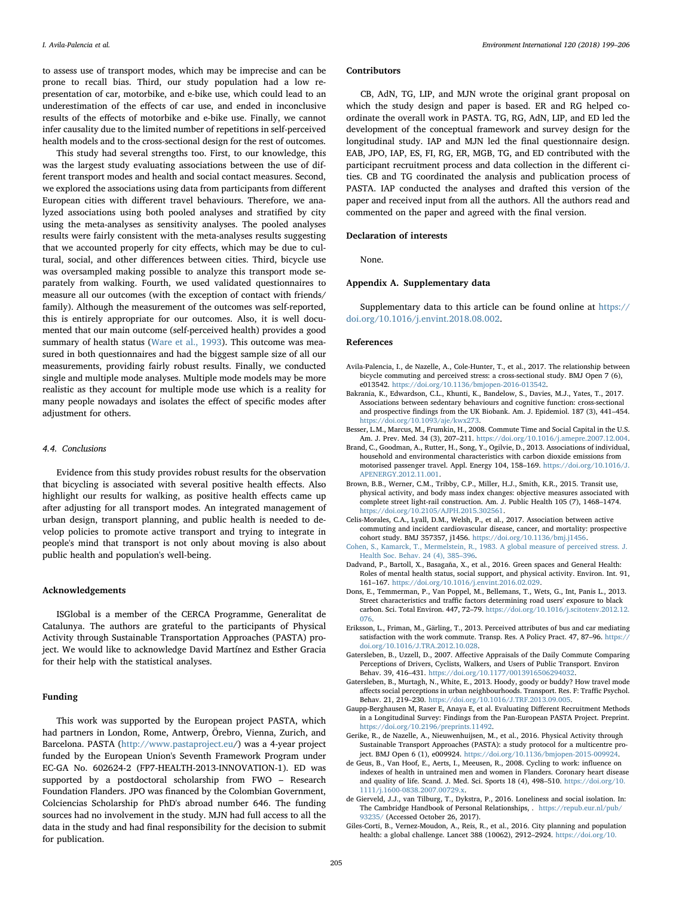to assess use of transport modes, which may be imprecise and can be prone to recall bias. Third, our study population had a low representation of car, motorbike, and e-bike use, which could lead to an underestimation of the effects of car use, and ended in inconclusive results of the effects of motorbike and e-bike use. Finally, we cannot infer causality due to the limited number of repetitions in self-perceived health models and to the cross-sectional design for the rest of outcomes.

This study had several strengths too. First, to our knowledge, this was the largest study evaluating associations between the use of different transport modes and health and social contact measures. Second, we explored the associations using data from participants from different European cities with different travel behaviours. Therefore, we analyzed associations using both pooled analyses and stratified by city using the meta-analyses as sensitivity analyses. The pooled analyses results were fairly consistent with the meta-analyses results suggesting that we accounted properly for city effects, which may be due to cultural, social, and other differences between cities. Third, bicycle use was oversampled making possible to analyze this transport mode separately from walking. Fourth, we used validated questionnaires to measure all our outcomes (with the exception of contact with friends/ family). Although the measurement of the outcomes was self-reported, this is entirely appropriate for our outcomes. Also, it is well documented that our main outcome (self-perceived health) provides a good summary of health status ([Ware et al., 1993](#page-7-18)). This outcome was measured in both questionnaires and had the biggest sample size of all our measurements, providing fairly robust results. Finally, we conducted single and multiple mode analyses. Multiple mode models may be more realistic as they account for multiple mode use which is a reality for many people nowadays and isolates the effect of specific modes after adjustment for others.

### 4.4. Conclusions

Evidence from this study provides robust results for the observation that bicycling is associated with several positive health effects. Also highlight our results for walking, as positive health effects came up after adjusting for all transport modes. An integrated management of urban design, transport planning, and public health is needed to develop policies to promote active transport and trying to integrate in people's mind that transport is not only about moving is also about public health and population's well-being.

### Acknowledgements

ISGlobal is a member of the CERCA Programme, Generalitat de Catalunya. The authors are grateful to the participants of Physical Activity through Sustainable Transportation Approaches (PASTA) project. We would like to acknowledge David Martínez and Esther Gracia for their help with the statistical analyses.

# Funding

This work was supported by the European project PASTA, which had partners in London, Rome, Antwerp, Örebro, Vienna, Zurich, and Barcelona. PASTA [\(http://www.pastaproject.eu/](http://www.pastaproject.eu)) was a 4-year project funded by the European Union's Seventh Framework Program under EC-GA No. 602624-2 (FP7-HEALTH-2013-INNOVATION-1). ED was supported by a postdoctoral scholarship from FWO – Research Foundation Flanders. JPO was financed by the Colombian Government, Colciencias Scholarship for PhD's abroad number 646. The funding sources had no involvement in the study. MJN had full access to all the data in the study and had final responsibility for the decision to submit for publication.

#### Contributors

CB, AdN, TG, LIP, and MJN wrote the original grant proposal on which the study design and paper is based. ER and RG helped coordinate the overall work in PASTA. TG, RG, AdN, LIP, and ED led the development of the conceptual framework and survey design for the longitudinal study. IAP and MJN led the final questionnaire design. EAB, JPO, IAP, ES, FI, RG, ER, MGB, TG, and ED contributed with the participant recruitment process and data collection in the different cities. CB and TG coordinated the analysis and publication process of PASTA. IAP conducted the analyses and drafted this version of the paper and received input from all the authors. All the authors read and commented on the paper and agreed with the final version.

#### Declaration of interests

None.

#### Appendix A. Supplementary data

Supplementary data to this article can be found online at [https://](https://doi.org/10.1016/j.envint.2018.08.002) [doi.org/10.1016/j.envint.2018.08.002.](https://doi.org/10.1016/j.envint.2018.08.002)

#### References

- <span id="page-6-5"></span>Avila-Palencia, I., de Nazelle, A., Cole-Hunter, T., et al., 2017. The relationship between bicycle commuting and perceived stress: a cross-sectional study. BMJ Open 7 (6), e013542. <https://doi.org/10.1136/bmjopen-2016-013542>.
- <span id="page-6-2"></span>Bakrania, K., Edwardson, C.L., Khunti, K., Bandelow, S., Davies, M.J., Yates, T., 2017. Associations between sedentary behaviours and cognitive function: cross-sectional and prospective findings from the UK Biobank. Am. J. Epidemiol. 187 (3), 441–454. <https://doi.org/10.1093/aje/kwx273>.
- <span id="page-6-8"></span>Besser, L.M., Marcus, M., Frumkin, H., 2008. Commute Time and Social Capital in the U.S. Am. J. Prev. Med. 34 (3), 207–211. [https://doi.org/10.1016/j.amepre.2007.12.004.](https://doi.org/10.1016/j.amepre.2007.12.004)
- <span id="page-6-7"></span>Brand, C., Goodman, A., Rutter, H., Song, Y., Ogilvie, D., 2013. Associations of individual, household and environmental characteristics with carbon dioxide emissions from motorised passenger travel. Appl. Energy 104, 158–169. [https://doi.org/10.1016/J.](https://doi.org/10.1016/J.APENERGY.2012.11.001) [APENERGY.2012.11.001.](https://doi.org/10.1016/J.APENERGY.2012.11.001)
- <span id="page-6-3"></span>Brown, B.B., Werner, C.M., Tribby, C.P., Miller, H.J., Smith, K.R., 2015. Transit use, physical activity, and body mass index changes: objective measures associated with complete street light-rail construction. Am. J. Public Health 105 (7), 1468–1474. [https://doi.org/10.2105/AJPH.2015.302561.](https://doi.org/10.2105/AJPH.2015.302561)
- <span id="page-6-4"></span>Celis-Morales, C.A., Lyall, D.M., Welsh, P., et al., 2017. Association between active commuting and incident cardiovascular disease, cancer, and mortality: prospective cohort study. BMJ 357357, j1456. [https://doi.org/10.1136/bmj.j1456.](https://doi.org/10.1136/bmj.j1456)
- <span id="page-6-13"></span>[Cohen, S., Kamarck, T., Mermelstein, R., 1983. A global measure of perceived stress. J.](http://refhub.elsevier.com/S0160-4120(18)31314-X/rf0035) [Health Soc. Behav. 24 \(4\), 385](http://refhub.elsevier.com/S0160-4120(18)31314-X/rf0035)–396.
- <span id="page-6-12"></span>Dadvand, P., Bartoll, X., Basagaña, X., et al., 2016. Green spaces and General Health: Roles of mental health status, social support, and physical activity. Environ. Int. 91, 161–167. <https://doi.org/10.1016/j.envint.2016.02.029>.
- <span id="page-6-1"></span>Dons, E., Temmerman, P., Van Poppel, M., Bellemans, T., Wets, G., Int, Panis L., 2013. Street characteristics and traffic factors determining road users' exposure to black carbon. Sci. Total Environ. 447, 72–79. [https://doi.org/10.1016/j.scitotenv.2012.12.](https://doi.org/10.1016/j.scitotenv.2012.12.076) [076](https://doi.org/10.1016/j.scitotenv.2012.12.076).
- <span id="page-6-16"></span>Eriksson, L., Friman, M., Gärling, T., 2013. Perceived attributes of bus and car mediating satisfaction with the work commute. Transp. Res. A Policy Pract. 47, 87–96. [https://](https://doi.org/10.1016/J.TRA.2012.10.028) [doi.org/10.1016/J.TRA.2012.10.028.](https://doi.org/10.1016/J.TRA.2012.10.028)
- <span id="page-6-14"></span>Gatersleben, B., Uzzell, D., 2007. Affective Appraisals of the Daily Commute Comparing Perceptions of Drivers, Cyclists, Walkers, and Users of Public Transport. Environ Behav. 39, 416–431. [https://doi.org/10.1177/0013916506294032.](https://doi.org/10.1177/0013916506294032)
- <span id="page-6-15"></span>Gatersleben, B., Murtagh, N., White, E., 2013. Hoody, goody or buddy? How travel mode affects social perceptions in urban neighbourhoods. Transport. Res. F: Traffic Psychol. Behav. 21, 219–230. <https://doi.org/10.1016/J.TRF.2013.09.005>.
- <span id="page-6-11"></span>Gaupp-Berghausen M, Raser E, Anaya E, et al. Evaluating Different Recruitment Methods in a Longitudinal Survey: Findings from the Pan-European PASTA Project. Preprint. [https://doi.org/10.2196/preprints.11492.](https://doi.org/10.2196/preprints.11492)
- <span id="page-6-10"></span>Gerike, R., de Nazelle, A., Nieuwenhuijsen, M., et al., 2016. Physical Activity through Sustainable Transport Approaches (PASTA): a study protocol for a multicentre project. BMJ Open 6 (1), e009924. <https://doi.org/10.1136/bmjopen-2015-009924>.
- <span id="page-6-6"></span>de Geus, B., Van Hoof, E., Aerts, I., Meeusen, R., 2008. Cycling to work: influence on indexes of health in untrained men and women in Flanders. Coronary heart disease and quality of life. Scand. J. Med. Sci. Sports 18 (4), 498–510. [https://doi.org/10.](https://doi.org/10.1111/j.1600-0838.2007.00729.x) [1111/j.1600-0838.2007.00729.x](https://doi.org/10.1111/j.1600-0838.2007.00729.x).
- <span id="page-6-9"></span>de Gierveld, J.J., van Tilburg, T., Dykstra, P., 2016. Loneliness and social isolation. In: The Cambridge Handbook of Personal Relationships, . [https://repub.eur.nl/pub/](https://repub.eur.nl/pub/93235/) [93235/](https://repub.eur.nl/pub/93235/) (Accessed October 26, 2017).
- <span id="page-6-0"></span>Giles-Corti, B., Vernez-Moudon, A., Reis, R., et al., 2016. City planning and population health: a global challenge. Lancet 388 (10062), 2912–2924. [https://doi.org/10.](https://doi.org/10.1016/S0140-6736(16)30066-6)